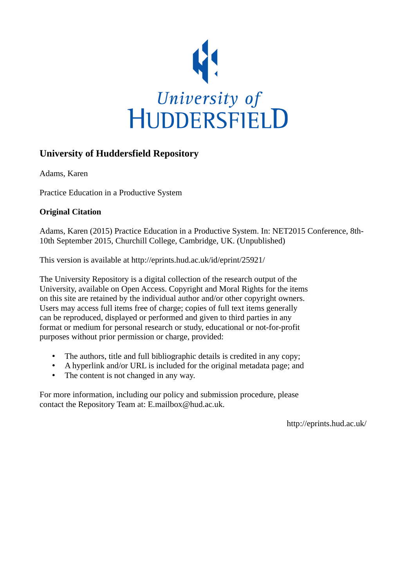

### **University of Huddersfield Repository**

Adams, Karen

Practice Education in a Productive System

#### **Original Citation**

Adams, Karen (2015) Practice Education in a Productive System. In: NET2015 Conference, 8th-10th September 2015, Churchill College, Cambridge, UK. (Unpublished)

This version is available at http://eprints.hud.ac.uk/id/eprint/25921/

The University Repository is a digital collection of the research output of the University, available on Open Access. Copyright and Moral Rights for the items on this site are retained by the individual author and/or other copyright owners. Users may access full items free of charge; copies of full text items generally can be reproduced, displayed or performed and given to third parties in any format or medium for personal research or study, educational or not-for-profit purposes without prior permission or charge, provided:

- The authors, title and full bibliographic details is credited in any copy;
- A hyperlink and/or URL is included for the original metadata page; and
- The content is not changed in any way.

For more information, including our policy and submission procedure, please contact the Repository Team at: E.mailbox@hud.ac.uk.

http://eprints.hud.ac.uk/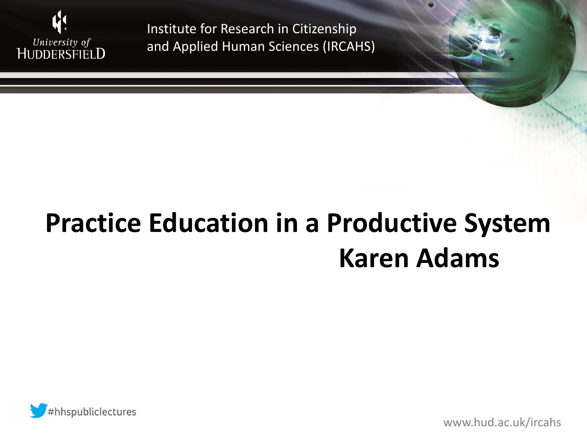

# **Practice Education in a Productive System Karen Adams**



www.hud.ac.uk/ircahs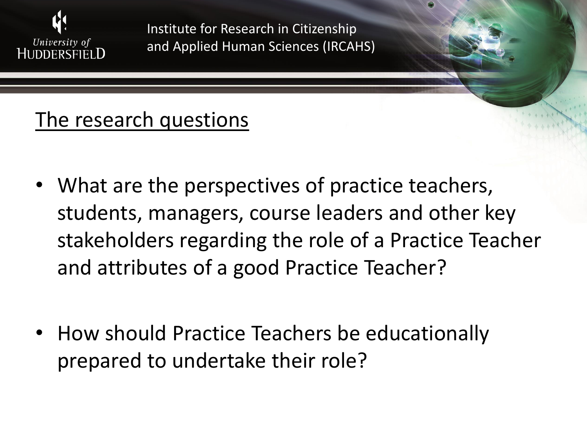

### The research questions

- What are the perspectives of practice teachers, students, managers, course leaders and other key stakeholders regarding the role of a Practice Teacher and attributes of a good Practice Teacher?
- How should Practice Teachers be educationally prepared to undertake their role?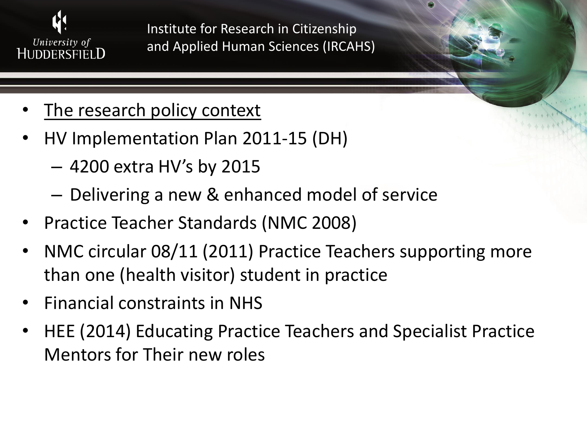![](_page_3_Picture_0.jpeg)

- The research policy context
- HV Implementation Plan 2011-15 (DH)
	- 4200 extra HV's by 2015
	- Delivering a new & enhanced model of service
- Practice Teacher Standards (NMC 2008)
- NMC circular 08/11 (2011) Practice Teachers supporting more than one (health visitor) student in practice
- Financial constraints in NHS
- HEE (2014) Educating Practice Teachers and Specialist Practice Mentors for Their new roles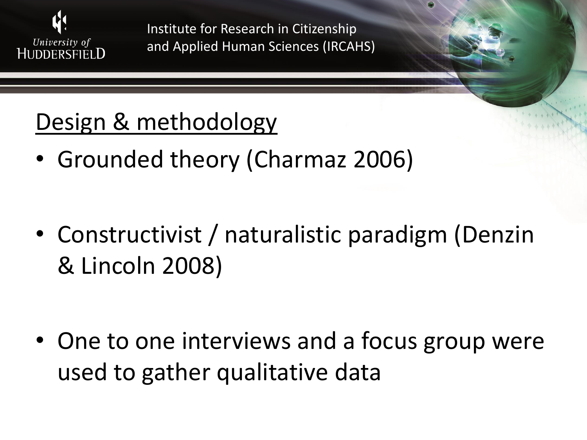![](_page_4_Picture_0.jpeg)

## Design & methodology

• Grounded theory (Charmaz 2006)

• Constructivist / naturalistic paradigm (Denzin & Lincoln 2008)

• One to one interviews and a focus group were used to gather qualitative data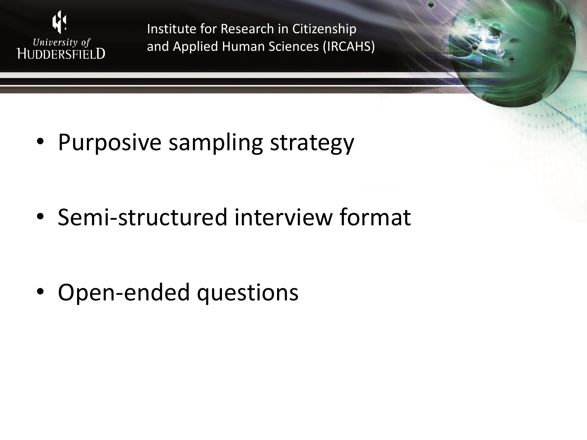![](_page_5_Picture_0.jpeg)

• Purposive sampling strategy

• Semi-structured interview format

• Open-ended questions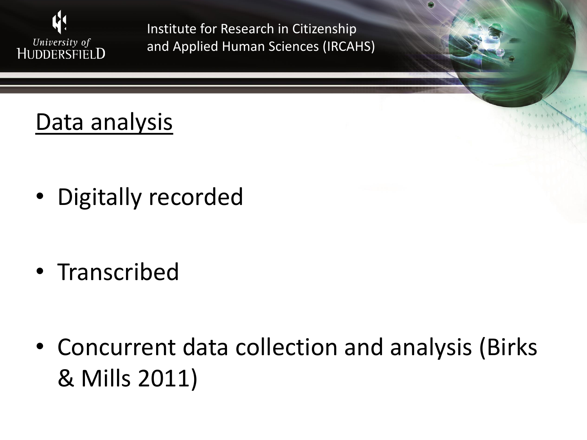![](_page_6_Picture_0.jpeg)

## Data analysis

• Digitally recorded

• Transcribed

• Concurrent data collection and analysis (Birks & Mills 2011)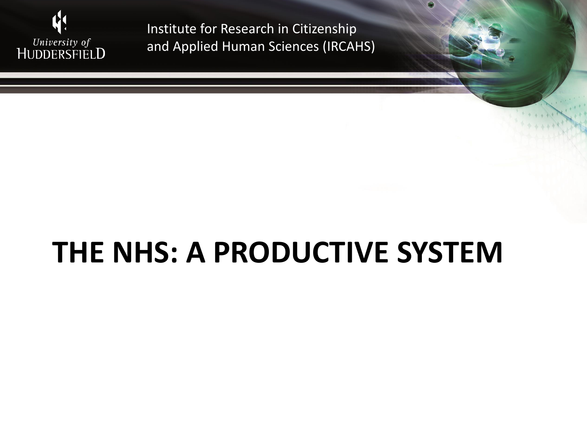![](_page_7_Picture_0.jpeg)

# **THE NHS: A PRODUCTIVE SYSTEM**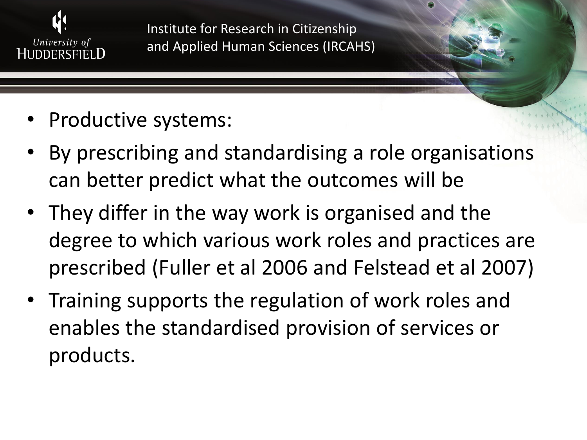![](_page_8_Picture_0.jpeg)

- Productive systems:
- By prescribing and standardising a role organisations can better predict what the outcomes will be
- They differ in the way work is organised and the degree to which various work roles and practices are prescribed (Fuller et al 2006 and Felstead et al 2007)
- Training supports the regulation of work roles and enables the standardised provision of services or products.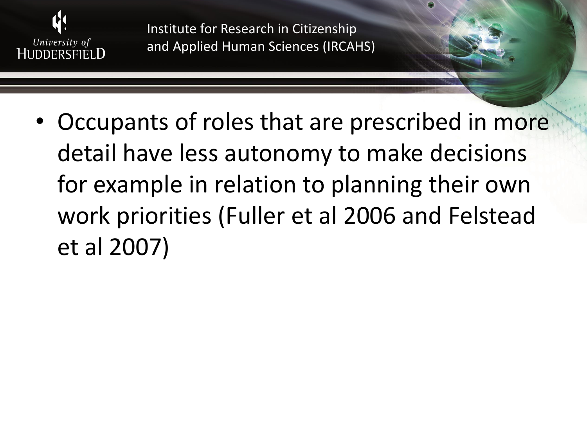![](_page_9_Picture_0.jpeg)

• Occupants of roles that are prescribed in more detail have less autonomy to make decisions for example in relation to planning their own work priorities (Fuller et al 2006 and Felstead et al 2007)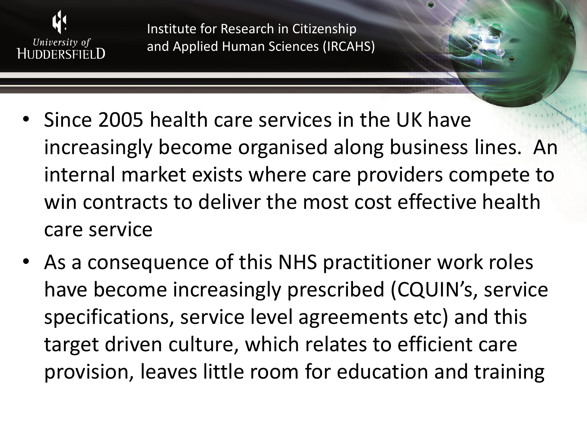![](_page_10_Picture_0.jpeg)

- Since 2005 health care services in the UK have increasingly become organised along business lines. An internal market exists where care providers compete to win contracts to deliver the most cost effective health care service
- As a consequence of this NHS practitioner work roles have become increasingly prescribed (CQUIN's, service specifications, service level agreements etc) and this target driven culture, which relates to efficient care provision, leaves little room for education and training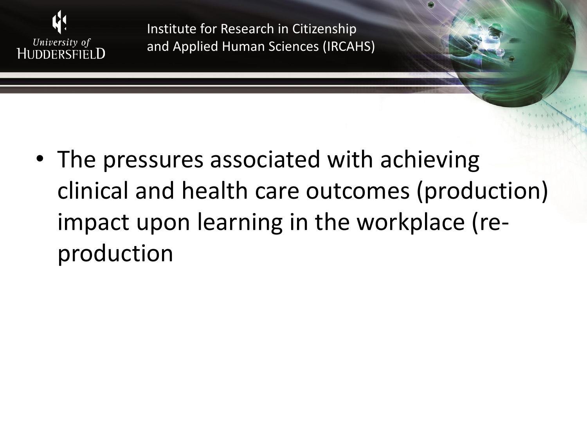![](_page_11_Picture_0.jpeg)

• The pressures associated with achieving clinical and health care outcomes (production) impact upon learning in the workplace (reproduction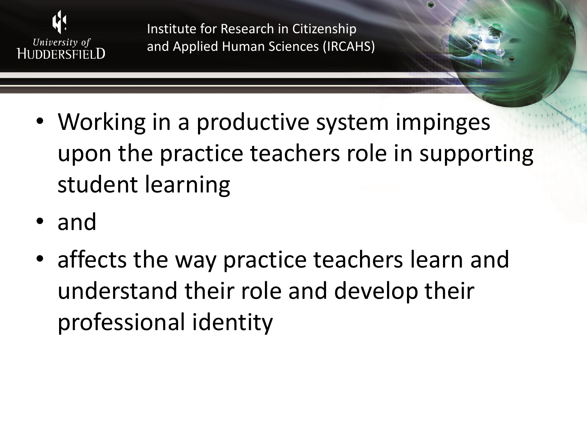![](_page_12_Picture_0.jpeg)

- Working in a productive system impinges upon the practice teachers role in supporting student learning
- and
- affects the way practice teachers learn and understand their role and develop their professional identity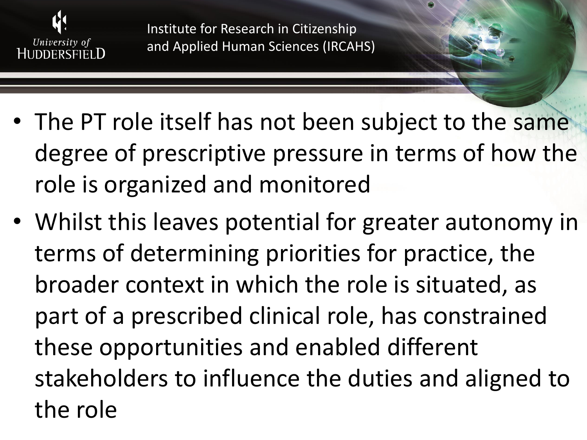![](_page_13_Picture_0.jpeg)

- The PT role itself has not been subject to the same degree of prescriptive pressure in terms of how the role is organized and monitored
- Whilst this leaves potential for greater autonomy in terms of determining priorities for practice, the broader context in which the role is situated, as part of a prescribed clinical role, has constrained these opportunities and enabled different stakeholders to influence the duties and aligned to the role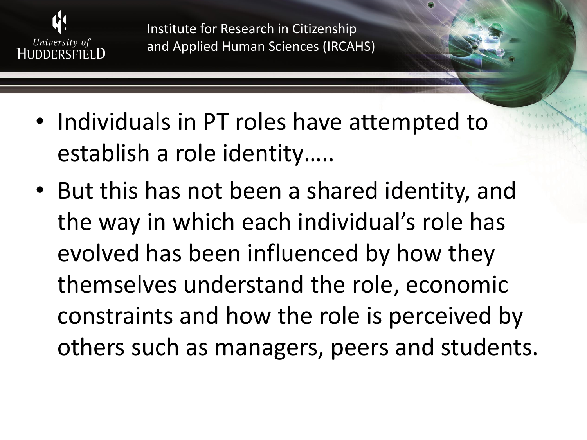![](_page_14_Picture_0.jpeg)

- Individuals in PT roles have attempted to establish a role identity…..
- But this has not been a shared identity, and the way in which each individual's role has evolved has been influenced by how they themselves understand the role, economic constraints and how the role is perceived by others such as managers, peers and students.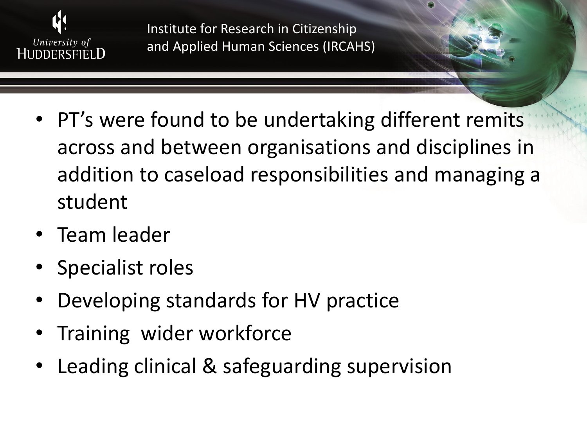![](_page_15_Picture_0.jpeg)

- PT's were found to be undertaking different remits across and between organisations and disciplines in addition to caseload responsibilities and managing a student
- Team leader
- Specialist roles
- Developing standards for HV practice
- Training wider workforce
- Leading clinical & safeguarding supervision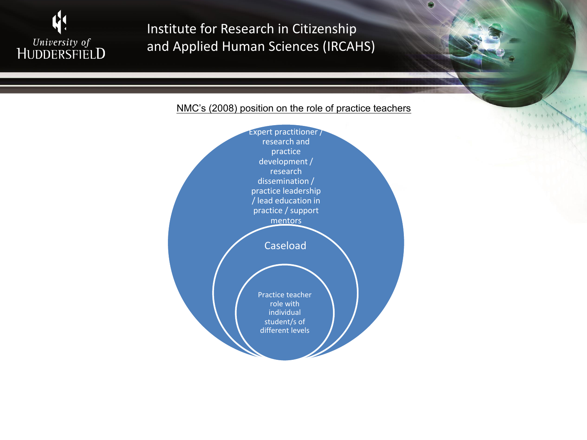![](_page_16_Picture_0.jpeg)

#### NMC's (2008) position on the role of practice teachers

![](_page_16_Figure_3.jpeg)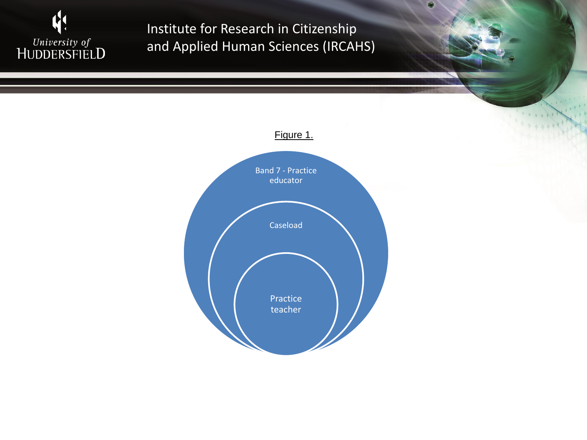![](_page_17_Picture_0.jpeg)

![](_page_17_Figure_2.jpeg)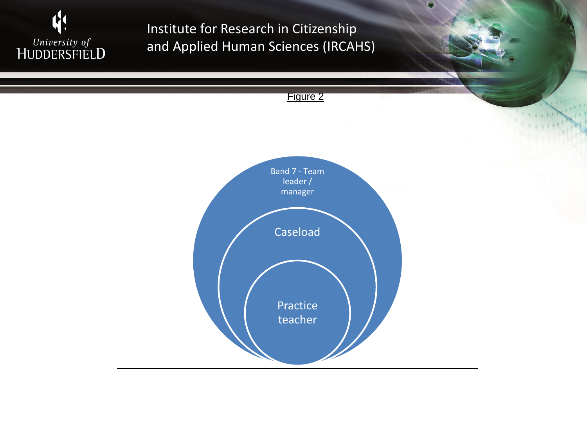![](_page_18_Picture_0.jpeg)

![](_page_18_Figure_2.jpeg)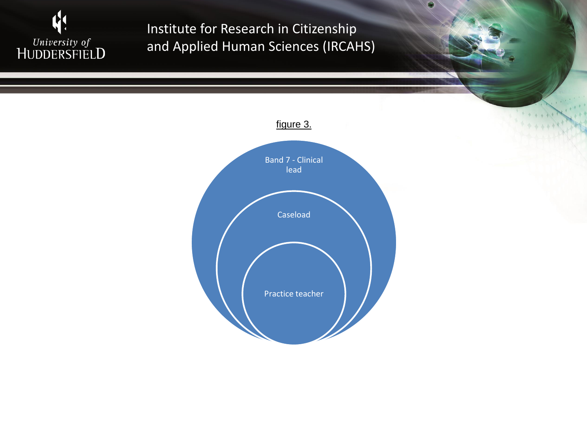![](_page_19_Picture_0.jpeg)

![](_page_19_Figure_2.jpeg)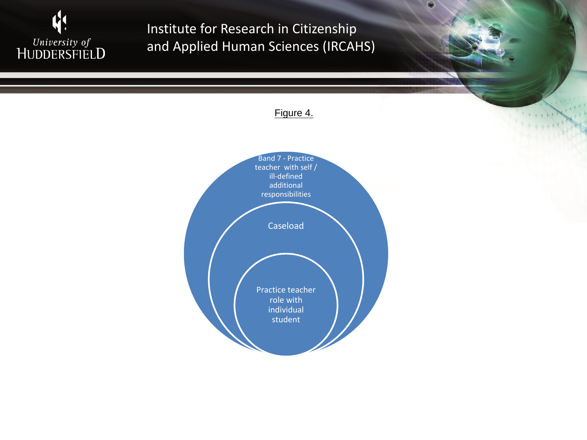![](_page_20_Picture_0.jpeg)

#### Figure 4.

![](_page_20_Figure_3.jpeg)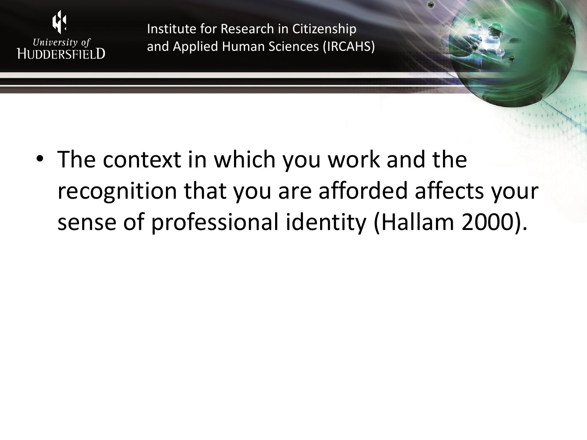![](_page_21_Picture_0.jpeg)

• The context in which you work and the recognition that you are afforded affects your sense of professional identity (Hallam 2000).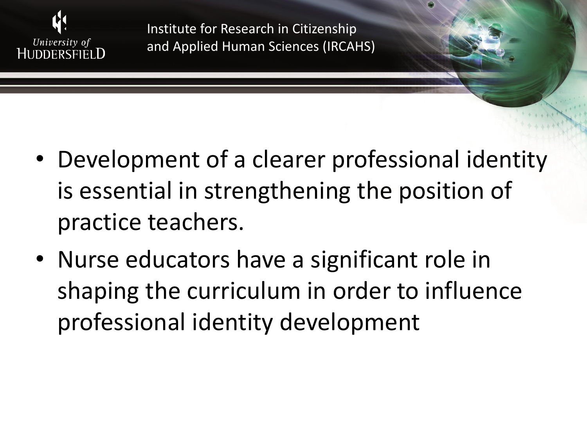![](_page_22_Picture_0.jpeg)

- Development of a clearer professional identity is essential in strengthening the position of practice teachers.
- Nurse educators have a significant role in shaping the curriculum in order to influence professional identity development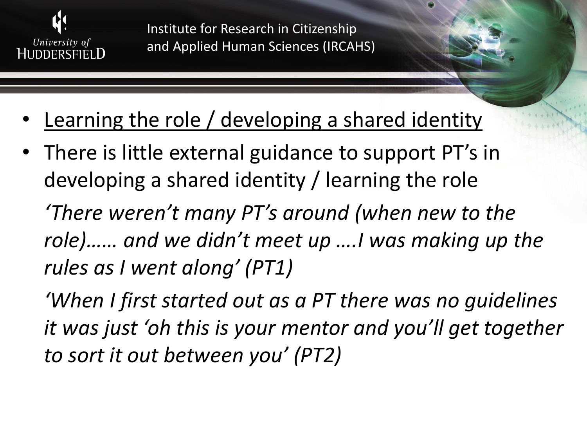![](_page_23_Picture_0.jpeg)

- Learning the role / developing a shared identity
- There is little external guidance to support PT's in developing a shared identity / learning the role

*'There weren't many PT's around (when new to the role)…… and we didn't meet up ….I was making up the rules as I went along' (PT1)*

*'When I first started out as a PT there was no guidelines it was just 'oh this is your mentor and you'll get together to sort it out between you' (PT2)*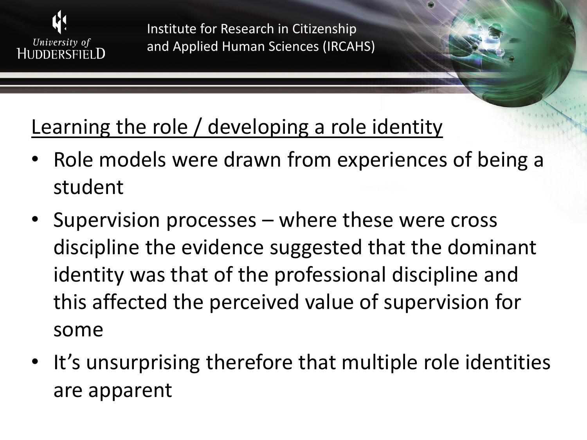![](_page_24_Picture_0.jpeg)

### Learning the role / developing a role identity

- Role models were drawn from experiences of being a student
- Supervision processes where these were cross discipline the evidence suggested that the dominant identity was that of the professional discipline and this affected the perceived value of supervision for some
- It's unsurprising therefore that multiple role identities are apparent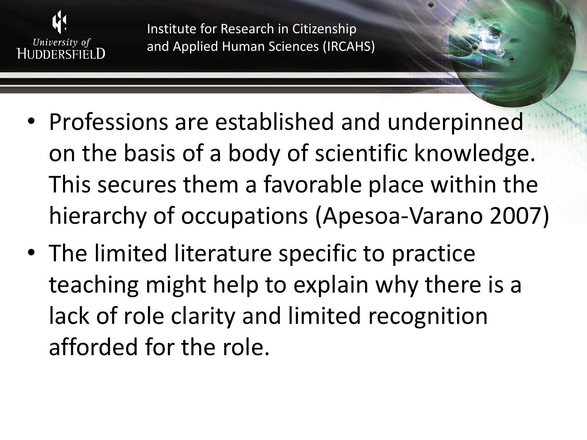![](_page_25_Picture_0.jpeg)

- Professions are established and underpinned on the basis of a body of scientific knowledge. This secures them a favorable place within the hierarchy of occupations (Apesoa-Varano 2007)
- The limited literature specific to practice teaching might help to explain why there is a lack of role clarity and limited recognition afforded for the role.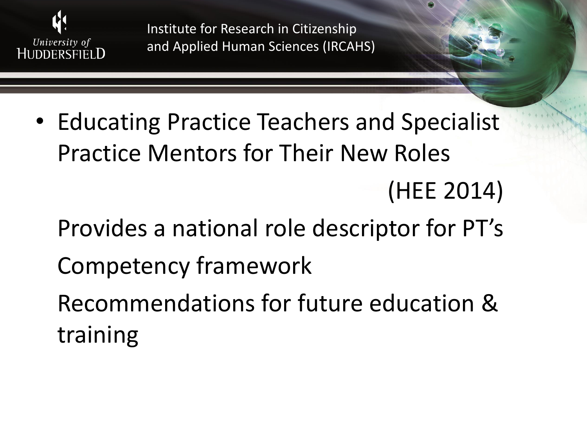![](_page_26_Picture_0.jpeg)

- Educating Practice Teachers and Specialist Practice Mentors for Their New Roles (HEE 2014)
	- Provides a national role descriptor for PT's
	- Competency framework
	- Recommendations for future education & training